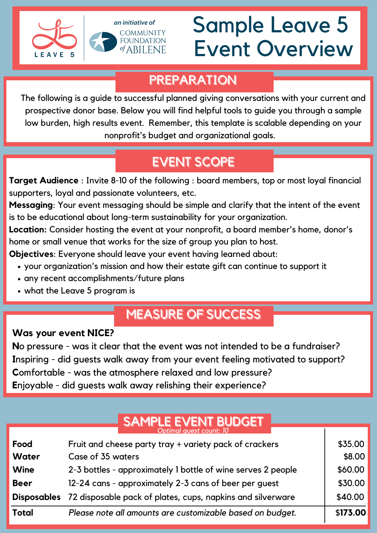



# Sample Leave 5 Event Overview

 $\overline{\mathbf{I}}$ 

#### PREPARATION

The following is a guide to successful planned giving conversations with your current and prospective donor base. Below you will find helpful tools to guide you through a sample low burden, high results event. Remember, this template is scalable depending on your nonprofit's budget and organizational goals.

## EVENT SCOPE

**Target Audience** : Invite 8-10 of the following : board members, top or most loyal financial supporters, loyal and passionate volunteers, etc.

**Messaging**: Your event messaging should be simple and clarify that the intent of the event is to be educational about long-term sustainability for your organization.

**Location:** Consider hosting the event at your nonprofit, a board member's home, donor's home or small venue that works for the size of group you plan to host.

**Objectives**: Everyone should leave your event having learned about:

- your organization's mission and how their estate gift can continue to support it
- any recent accomplishments/future plans
- what the Leave 5 program is

### **MEASURE OF SUCCESS**

#### **Was your event NICE?**

**N**o pressure - was it clear that the event was not intended to be a fundraiser? **I**nspiring - did guests walk away from your event feeling motivated to support? **C**omfortable - was the atmosphere relaxed and low pressure? **E**njoyable - did guests walk away relishing their experience?

#### SAMPLE EVENT BUDGET *Optimal guest count: 10*

| Food         | Fruit and cheese party tray + variety pack of crackers                        | \$35.00  |
|--------------|-------------------------------------------------------------------------------|----------|
| <b>Water</b> | Case of 35 waters                                                             | \$8.00   |
| <b>Wine</b>  | 2-3 bottles - approximately 1 bottle of wine serves 2 people                  | \$60.00  |
| <b>Beer</b>  | 12-24 cans - approximately 2-3 cans of beer per guest                         | \$30.00  |
|              | <b>Disposables</b> 72 disposable pack of plates, cups, napkins and silverware | \$40.00  |
| <b>Total</b> | Please note all amounts are customizable based on budget.                     | \$173.00 |
|              |                                                                               |          |